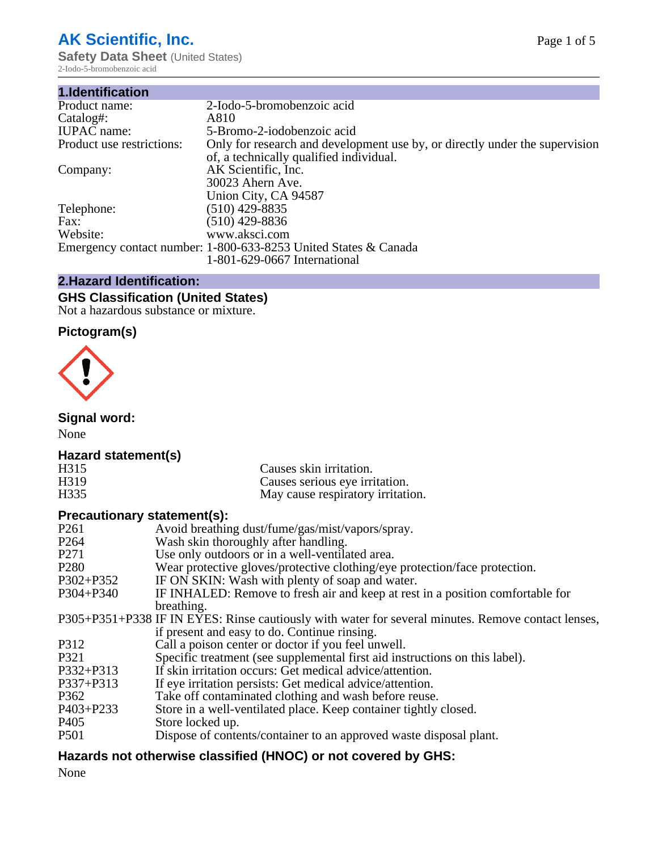# **AK Scientific, Inc.**

**Safety Data Sheet** (United States) 2-Iodo-5-bromobenzoic acid

| 1.Identification          |                                                                                                                        |
|---------------------------|------------------------------------------------------------------------------------------------------------------------|
| Product name:             | 2-Iodo-5-bromobenzoic acid                                                                                             |
| Catalog#:                 | A810                                                                                                                   |
| <b>IUPAC</b> name:        | 5-Bromo-2-iodobenzoic acid                                                                                             |
| Product use restrictions: | Only for research and development use by, or directly under the supervision<br>of, a technically qualified individual. |
| Company:                  | AK Scientific, Inc.<br>30023 Ahern Ave.<br>Union City, CA 94587                                                        |
| Telephone:                | $(510)$ 429-8835                                                                                                       |
| Fax:                      | $(510)$ 429-8836                                                                                                       |
| Website:                  | www.aksci.com                                                                                                          |
|                           | Emergency contact number: 1-800-633-8253 United States & Canada<br>1-801-629-0667 International                        |

# **2.Hazard Identification:**

# **GHS Classification (United States)**

Not a hazardous substance or mixture.

# **Pictogram(s)**



# **Signal word:**

None

## **Hazard statement(s)**

| .<br>H315 | Causes skin irritation.           |
|-----------|-----------------------------------|
| H319      | Causes serious eye irritation.    |
| H335      | May cause respiratory irritation. |

## **Precautionary statement(s):**

| $\mathbf{r}$ received in Fig. , statements, |                                                                                                    |
|---------------------------------------------|----------------------------------------------------------------------------------------------------|
| P <sub>261</sub>                            | Avoid breathing dust/fume/gas/mist/vapors/spray.                                                   |
| P <sub>264</sub>                            | Wash skin thoroughly after handling.                                                               |
| P <sub>271</sub>                            | Use only outdoors or in a well-ventilated area.                                                    |
| P <sub>280</sub>                            | Wear protective gloves/protective clothing/eye protection/face protection.                         |
| P302+P352                                   | IF ON SKIN: Wash with plenty of soap and water.                                                    |
| $P304 + P340$                               | IF INHALED: Remove to fresh air and keep at rest in a position comfortable for                     |
|                                             | breathing.                                                                                         |
|                                             | P305+P351+P338 IF IN EYES: Rinse cautiously with water for several minutes. Remove contact lenses, |
|                                             | if present and easy to do. Continue rinsing.                                                       |
| P312                                        | Call a poison center or doctor if you feel unwell.                                                 |
| P321                                        | Specific treatment (see supplemental first aid instructions on this label).                        |
| P332+P313                                   | If skin irritation occurs: Get medical advice/attention.                                           |
| P337+P313                                   | If eye irritation persists: Get medical advice/attention.                                          |
| P <sub>362</sub>                            | Take off contaminated clothing and wash before reuse.                                              |
| $P403 + P233$                               | Store in a well-ventilated place. Keep container tightly closed.                                   |
| P <sub>405</sub>                            | Store locked up.                                                                                   |
| <b>P501</b>                                 | Dispose of contents/container to an approved waste disposal plant.                                 |
|                                             |                                                                                                    |

## **Hazards not otherwise classified (HNOC) or not covered by GHS:**

None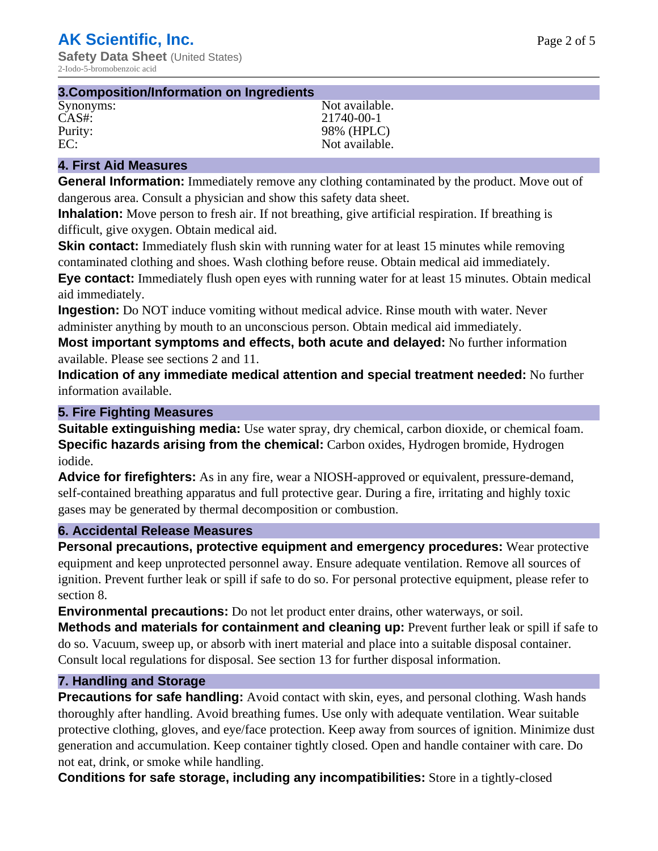| 3. Composition/Information on Ingredients |                |
|-------------------------------------------|----------------|
| Synonyms:                                 | Not available. |
| $CAS#$ :                                  | 21740-00-1     |
| Purity:                                   | 98% (HPLC)     |
| EC:                                       | Not available. |

### **4. First Aid Measures**

**General Information:** Immediately remove any clothing contaminated by the product. Move out of dangerous area. Consult a physician and show this safety data sheet.

**Inhalation:** Move person to fresh air. If not breathing, give artificial respiration. If breathing is difficult, give oxygen. Obtain medical aid.

**Skin contact:** Immediately flush skin with running water for at least 15 minutes while removing contaminated clothing and shoes. Wash clothing before reuse. Obtain medical aid immediately. **Eye contact:** Immediately flush open eyes with running water for at least 15 minutes. Obtain medical aid immediately.

**Ingestion:** Do NOT induce vomiting without medical advice. Rinse mouth with water. Never administer anything by mouth to an unconscious person. Obtain medical aid immediately.

**Most important symptoms and effects, both acute and delayed:** No further information available. Please see sections 2 and 11.

**Indication of any immediate medical attention and special treatment needed:** No further information available.

#### **5. Fire Fighting Measures**

**Suitable extinguishing media:** Use water spray, dry chemical, carbon dioxide, or chemical foam. **Specific hazards arising from the chemical:** Carbon oxides, Hydrogen bromide, Hydrogen iodide.

**Advice for firefighters:** As in any fire, wear a NIOSH-approved or equivalent, pressure-demand, self-contained breathing apparatus and full protective gear. During a fire, irritating and highly toxic gases may be generated by thermal decomposition or combustion.

#### **6. Accidental Release Measures**

**Personal precautions, protective equipment and emergency procedures:** Wear protective equipment and keep unprotected personnel away. Ensure adequate ventilation. Remove all sources of ignition. Prevent further leak or spill if safe to do so. For personal protective equipment, please refer to section 8.

**Environmental precautions:** Do not let product enter drains, other waterways, or soil.

**Methods and materials for containment and cleaning up:** Prevent further leak or spill if safe to do so. Vacuum, sweep up, or absorb with inert material and place into a suitable disposal container. Consult local regulations for disposal. See section 13 for further disposal information.

#### **7. Handling and Storage**

**Precautions for safe handling:** Avoid contact with skin, eyes, and personal clothing. Wash hands thoroughly after handling. Avoid breathing fumes. Use only with adequate ventilation. Wear suitable protective clothing, gloves, and eye/face protection. Keep away from sources of ignition. Minimize dust generation and accumulation. Keep container tightly closed. Open and handle container with care. Do not eat, drink, or smoke while handling.

**Conditions for safe storage, including any incompatibilities:** Store in a tightly-closed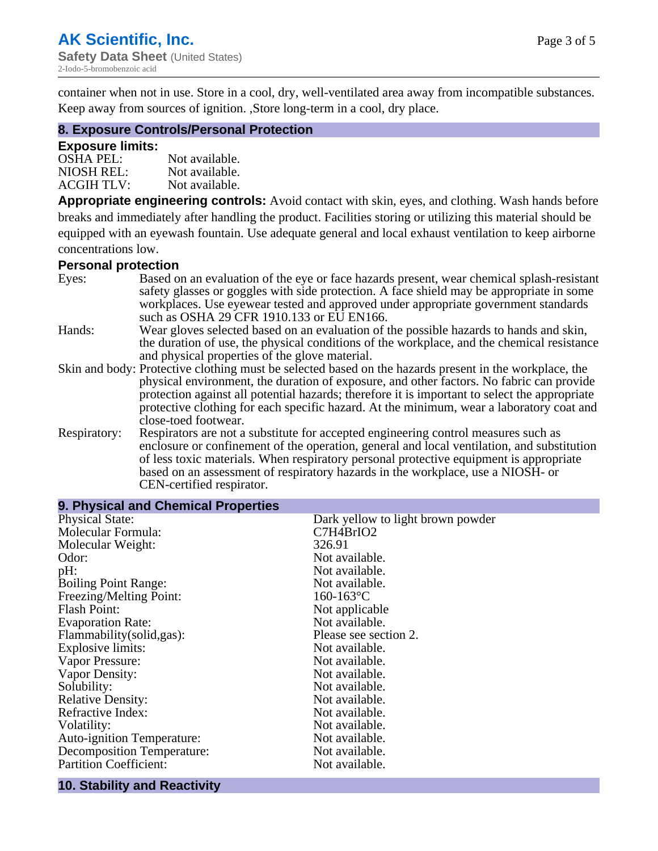container when not in use. Store in a cool, dry, well-ventilated area away from incompatible substances. Keep away from sources of ignition. ,Store long-term in a cool, dry place.

#### **8. Exposure Controls/Personal Protection**

#### **Exposure limits:**

| <b>OSHA PEL:</b>  | Not available. |
|-------------------|----------------|
| NIOSH REL:        | Not available. |
| <b>ACGIH TLV:</b> | Not available. |

**Appropriate engineering controls:** Avoid contact with skin, eyes, and clothing. Wash hands before breaks and immediately after handling the product. Facilities storing or utilizing this material should be equipped with an eyewash fountain. Use adequate general and local exhaust ventilation to keep airborne concentrations low.

#### **Personal protection**

| Eyes:        | Based on an evaluation of the eye or face hazards present, wear chemical splash-resistant<br>safety glasses or goggles with side protection. A face shield may be appropriate in some |
|--------------|---------------------------------------------------------------------------------------------------------------------------------------------------------------------------------------|
|              | workplaces. Use eyewear tested and approved under appropriate government standards<br>such as OSHA 29 CFR 1910.133 or EU EN166.                                                       |
| Hands:       | Wear gloves selected based on an evaluation of the possible hazards to hands and skin,                                                                                                |
|              | the duration of use, the physical conditions of the workplace, and the chemical resistance                                                                                            |
|              | and physical properties of the glove material.                                                                                                                                        |
|              | Skin and body: Protective clothing must be selected based on the hazards present in the workplace, the                                                                                |
|              | physical environment, the duration of exposure, and other factors. No fabric can provide                                                                                              |
|              | protection against all potential hazards; therefore it is important to select the appropriate                                                                                         |
|              | protective clothing for each specific hazard. At the minimum, wear a laboratory coat and                                                                                              |
|              | close-toed footwear.                                                                                                                                                                  |
| Respiratory: | Respirators are not a substitute for accepted engineering control measures such as<br>enclosure or confinement of the operation, general and local ventilation, and substitution      |
|              | of less toxic materials. When respiratory personal protective equipment is appropriate                                                                                                |
|              | based on an assessment of respiratory hazards in the workplace, use a NIOSH- or                                                                                                       |
|              | CEN-certified respirator.                                                                                                                                                             |

| 9. Physical and Chemical Properties |                                   |
|-------------------------------------|-----------------------------------|
| <b>Physical State:</b>              | Dark yellow to light brown powder |
| Molecular Formula:                  | C7H4BrIO2                         |
| Molecular Weight:                   | 326.91                            |
| Odor:                               | Not available.                    |
| pH:                                 | Not available.                    |
| <b>Boiling Point Range:</b>         | Not available.                    |
| Freezing/Melting Point:             | $160 - 163$ °C                    |
| Flash Point:                        | Not applicable                    |
| <b>Evaporation Rate:</b>            | Not available.                    |
| Flammability(solid,gas):            | Please see section 2.             |
| Explosive limits:                   | Not available.                    |
| Vapor Pressure:                     | Not available.                    |
| Vapor Density:                      | Not available.                    |
| Solubility:                         | Not available.                    |
| <b>Relative Density:</b>            | Not available.                    |
| Refractive Index:                   | Not available.                    |
| Volatility:                         | Not available.                    |
| <b>Auto-ignition Temperature:</b>   | Not available.                    |
| <b>Decomposition Temperature:</b>   | Not available.                    |
| <b>Partition Coefficient:</b>       | Not available.                    |
|                                     |                                   |

#### **10. Stability and Reactivity**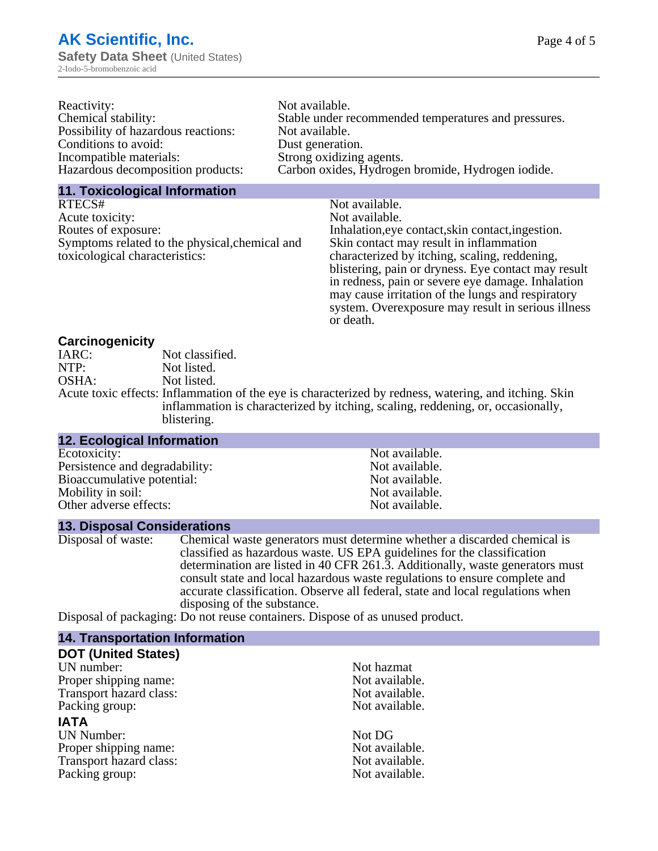| Reactivity:                         | Not available.                                       |
|-------------------------------------|------------------------------------------------------|
| Chemical stability:                 | Stable under recommended temperatures and pressures. |
| Possibility of hazardous reactions: | Not available.                                       |
| Conditions to avoid:                | Dust generation.                                     |
| Incompatible materials:             | Strong oxidizing agents.                             |
| Hazardous decomposition products:   | Carbon oxides, Hydrogen bromide, Hydrogen iodide.    |

#### **11. Toxicological Information**

| RTECS#                                         | Not available.                                      |
|------------------------------------------------|-----------------------------------------------------|
| Acute toxicity:                                | Not available.                                      |
| Routes of exposure:                            | Inhalation, eye contact, skin contact, ingestion.   |
| Symptoms related to the physical, chemical and | Skin contact may result in inflammation             |
| toxicological characteristics:                 | characterized by itching, scaling, reddening,       |
|                                                | blistering, pain or dryness. Eye contact may result |
|                                                | in redness, pain or severe eye damage. Inhalation   |
|                                                | may cause irritation of the lungs and respiratory   |
|                                                | system. Overexposure may result in serious illness  |

or death.

#### **Carcinogenicity**

| IARC: | Not classified.                                                                                       |
|-------|-------------------------------------------------------------------------------------------------------|
| NTP:  | Not listed.                                                                                           |
| OSHA: | Not listed.                                                                                           |
|       | Acute toxic effects: Inflammation of the eye is characterized by redness, watering, and itching. Skin |
|       | inflammation is characterized by itching, scaling, reddening, or, occasionally,                       |
|       | blistering.                                                                                           |

| <b>12. Ecological Information</b> |                |
|-----------------------------------|----------------|
| Ecotoxicity:                      | Not available. |
| Persistence and degradability:    | Not available. |
| Bioaccumulative potential:        | Not available. |
| Mobility in soil:                 | Not available. |
| Other adverse effects:            | Not available. |

#### **13. Disposal Considerations**

Disposal of waste: Chemical waste generators must determine whether a discarded chemical is classified as hazardous waste. US EPA guidelines for the classification determination are listed in 40 CFR 261.3. Additionally, waste generators must consult state and local hazardous waste regulations to ensure complete and accurate classification. Observe all federal, state and local regulations when disposing of the substance.

Disposal of packaging: Do not reuse containers. Dispose of as unused product.

| <b>14. Transportation Information</b> |                |
|---------------------------------------|----------------|
| <b>DOT (United States)</b>            |                |
| UN number:                            | Not hazmat     |
| Proper shipping name:                 | Not available. |
| Transport hazard class:               | Not available. |
| Packing group:                        | Not available. |
| <b>IATA</b>                           |                |
| <b>UN Number:</b>                     | Not DG         |
| Proper shipping name:                 | Not available. |
| Transport hazard class:               | Not available. |
| Packing group:                        | Not available. |